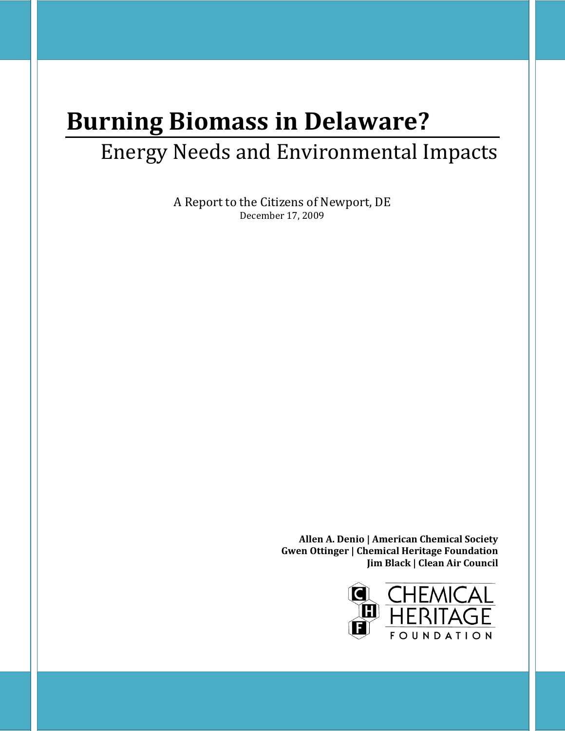# **Burning Biomass in Delaware?** Energy Needs and Environmental Impacts

A Report to the Citizens of Newport, DE December 17, 2009

> **Allen A. Denio | American Chemical Society Gwen Ottinger | Chemical Heritage Foundation Jim Black | Clean Air Council**

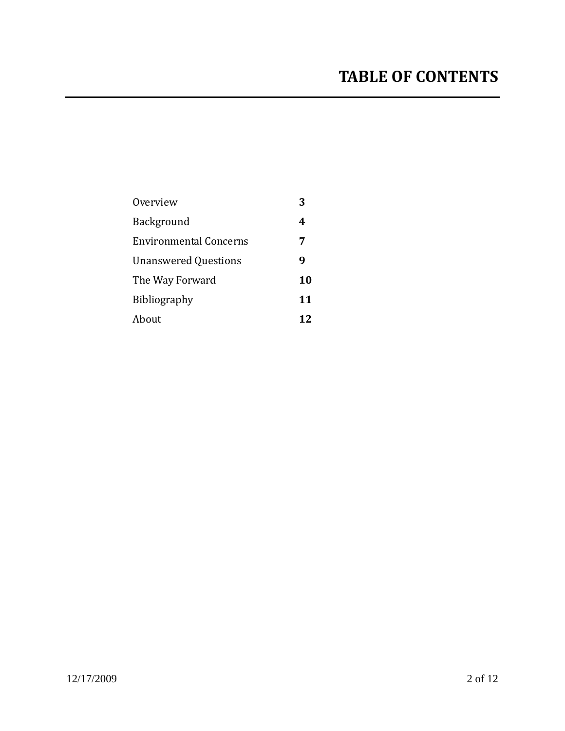# **TABLE OF CONTENTS**

| Overview                      | 3  |
|-------------------------------|----|
| Background                    | 4  |
| <b>Environmental Concerns</b> | 7  |
| <b>Unanswered Questions</b>   | 9  |
| The Way Forward               | 10 |
| <b>Bibliography</b>           | 11 |
| About                         | 12 |
|                               |    |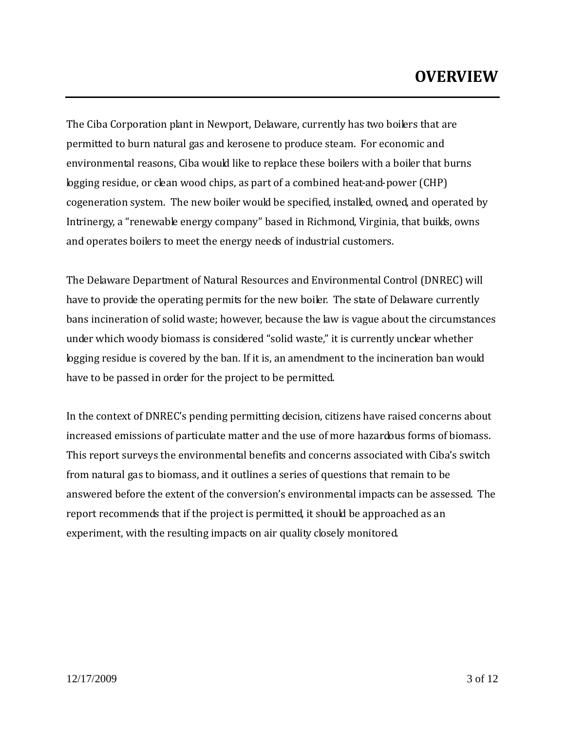The Ciba Corporation plant in Newport, Delaware, currently has two boilers that are permitted to burn natural gas and kerosene to produce steam. For economic and environmental reasons, Ciba would like to replace these boilers with a boiler that burns logging residue, or clean wood chips, as part of a combined heat-and-power (CHP) cogeneration system. The new boiler would be specified, installed, owned, and operated by Intrinergy, a "renewable energy company" based in Richmond, Virginia, that builds, owns and operates boilers to meet the energy needs of industrial customers.

The Delaware Department of Natural Resources and Environmental Control (DNREC) will have to provide the operating permits for the new boiler. The state of Delaware currently bans incineration of solid waste; however, because the law is vague about the circumstances under which woody biomass is considered "solid waste," it is currently unclear whether logging residue is covered by the ban. If it is, an amendment to the incineration ban would have to be passed in order for the project to be permitted.

In the context of DNREC's pending permitting decision, citizens have raised concerns about increased emissions of particulate matter and the use of more hazardous forms of biomass. This report surveys the environmental benefits and concerns associated with Ciba's switch from natural gas to biomass, and it outlines a series of questions that remain to be answered before the extent of the conversion's environmental impacts can be assessed. The report recommends that if the project is permitted, it should be approached as an experiment, with the resulting impacts on air quality closely monitored.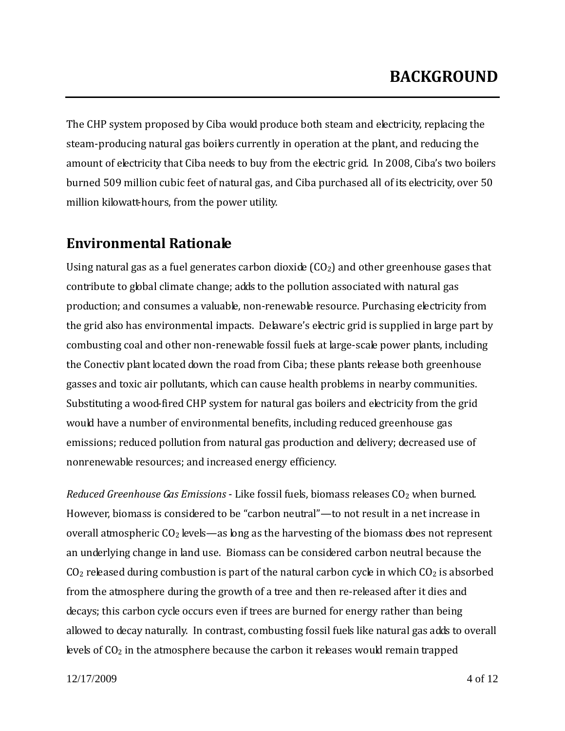The CHP system proposed by Ciba would produce both steam and electricity, replacing the steam-producing natural gas boilers currently in operation at the plant, and reducing the amount of electricity that Ciba needs to buy from the electric grid. In 2008, Ciba's two boilers burned 509 million cubic feet of natural gas, and Ciba purchased all of its electricity, over 50 million kilowatt-hours, from the power utility.

#### **Environmental Rationale**

Using natural gas as a fuel generates carbon dioxide  $(CO<sub>2</sub>)$  and other greenhouse gases that contribute to global climate change; adds to the pollution associated with natural gas production; and consumes a valuable, non-renewable resource. Purchasing electricity from the grid also has environmental impacts. Delaware's electric grid is supplied in large part by combusting coal and other non-renewable fossil fuels at large-scale power plants, including the Conectiv plant located down the road from Ciba; these plants release both greenhouse gasses and toxic air pollutants, which can cause health problems in nearby communities. Substituting a wood-fired CHP system for natural gas boilers and electricity from the grid would have a number of environmental benefits, including reduced greenhouse gas emissions; reduced pollution from natural gas production and delivery; decreased use of nonrenewable resources; and increased energy efficiency.

*Reduced Greenhouse Gas Emissions* - Like fossil fuels, biomass releases CO<sup>2</sup> when burned. However, biomass is considered to be "carbon neutral"—to not result in a net increase in overall atmospheric  $CO<sub>2</sub>$  levels—as long as the harvesting of the biomass does not represent an underlying change in land use. Biomass can be considered carbon neutral because the  $CO<sub>2</sub>$  released during combustion is part of the natural carbon cycle in which  $CO<sub>2</sub>$  is absorbed from the atmosphere during the growth of a tree and then re-released after it dies and decays; this carbon cycle occurs even if trees are burned for energy rather than being allowed to decay naturally. In contrast, combusting fossil fuels like natural gas adds to overall levels of  $CO<sub>2</sub>$  in the atmosphere because the carbon it releases would remain trapped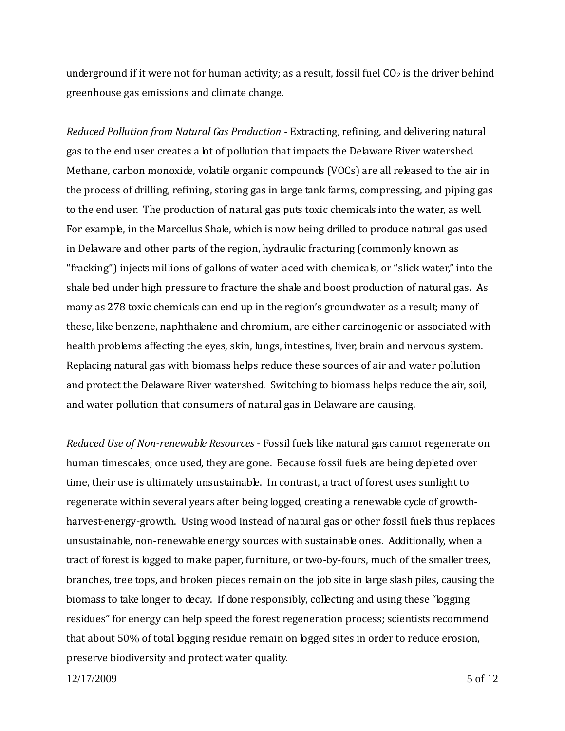underground if it were not for human activity; as a result, fossil fuel  $CO<sub>2</sub>$  is the driver behind greenhouse gas emissions and climate change.

*Reduced Pollution from Natural Gas Production* - Extracting, refining, and delivering natural gas to the end user creates a lot of pollution that impacts the Delaware River watershed. Methane, carbon monoxide, volatile organic compounds (VOCs) are all released to the air in the process of drilling, refining, storing gas in large tank farms, compressing, and piping gas to the end user. The production of natural gas puts toxic chemicals into the water, as well. For example, in the Marcellus Shale, which is now being drilled to produce natural gas used in Delaware and other parts of the region, hydraulic fracturing (commonly known as "fracking") injects millions of gallons of water laced with chemicals, or "slick water," into the shale bed under high pressure to fracture the shale and boost production of natural gas. As many as 278 toxic chemicals can end up in the region's groundwater as a result; many of these, like benzene, naphthalene and chromium, are either carcinogenic or associated with health problems affecting the eyes, skin, lungs, intestines, liver, brain and nervous system. Replacing natural gas with biomass helps reduce these sources of air and water pollution and protect the Delaware River watershed. Switching to biomass helps reduce the air, soil, and water pollution that consumers of natural gas in Delaware are causing.

*Reduced Use of Non-renewable Resources* - Fossil fuels like natural gas cannot regenerate on human timescales; once used, they are gone. Because fossil fuels are being depleted over time, their use is ultimately unsustainable. In contrast, a tract of forest uses sunlight to regenerate within several years after being logged, creating a renewable cycle of growthharvest-energy-growth. Using wood instead of natural gas or other fossil fuels thus replaces unsustainable, non-renewable energy sources with sustainable ones. Additionally, when a tract of forest is logged to make paper, furniture, or two-by-fours, much of the smaller trees, branches, tree tops, and broken pieces remain on the job site in large slash piles, causing the biomass to take longer to decay. If done responsibly, collecting and using these "logging residues" for energy can help speed the forest regeneration process; scientists recommend that about 50% of total logging residue remain on logged sites in order to reduce erosion, preserve biodiversity and protect water quality.

12/17/2009 5 of 12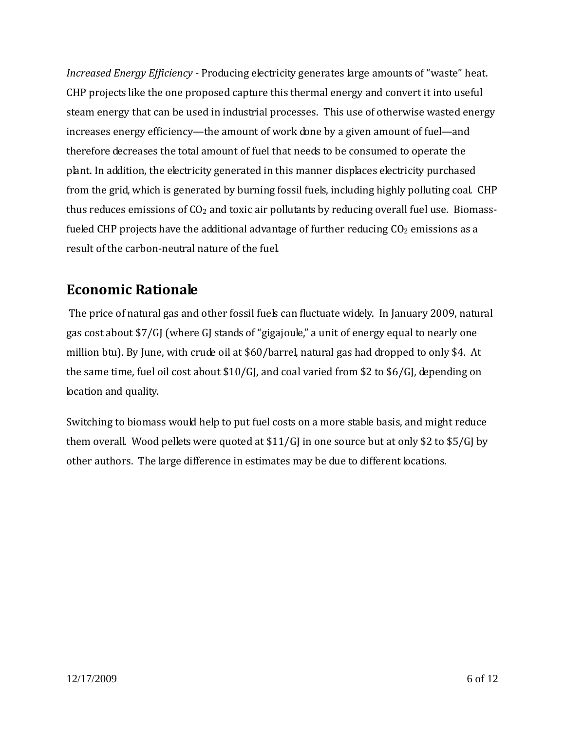*Increased Energy Efficiency* - Producing electricity generates large amounts of "waste" heat. CHP projects like the one proposed capture this thermal energy and convert it into useful steam energy that can be used in industrial processes. This use of otherwise wasted energy increases energy efficiency—the amount of work done by a given amount of fuel—and therefore decreases the total amount of fuel that needs to be consumed to operate the plant. In addition, the electricity generated in this manner displaces electricity purchased from the grid, which is generated by burning fossil fuels, including highly polluting coal. CHP thus reduces emissions of  $CO<sub>2</sub>$  and toxic air pollutants by reducing overall fuel use. Biomassfueled CHP projects have the additional advantage of further reducing  $CO<sub>2</sub>$  emissions as a result of the carbon-neutral nature of the fuel.

## **Economic Rationale**

The price of natural gas and other fossil fuels can fluctuate widely. In January 2009, natural gas cost about \$7/GJ (where GJ stands of "gigajoule," a unit of energy equal to nearly one million btu). By June, with crude oil at \$60/barrel, natural gas had dropped to only \$4. At the same time, fuel oil cost about \$10/GJ, and coal varied from \$2 to \$6/GJ, depending on location and quality.

Switching to biomass would help to put fuel costs on a more stable basis, and might reduce them overall. Wood pellets were quoted at \$11/GJ in one source but at only \$2 to \$5/GJ by other authors. The large difference in estimates may be due to different locations.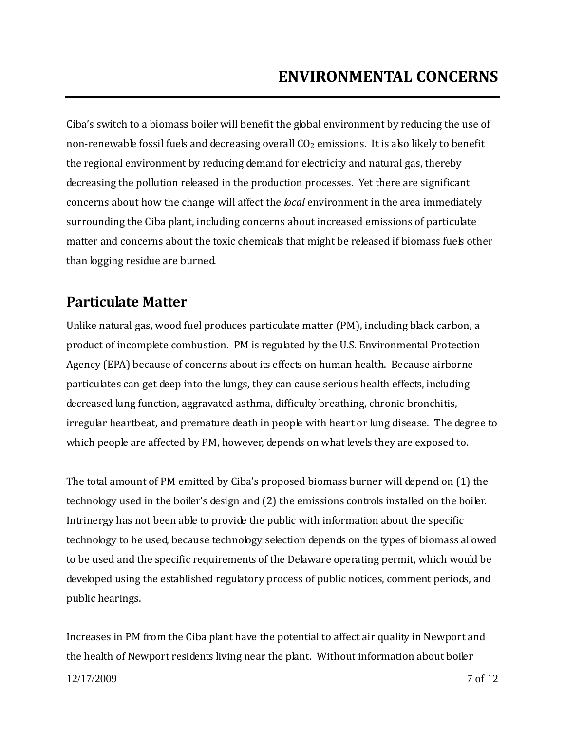Ciba's switch to a biomass boiler will benefit the global environment by reducing the use of non-renewable fossil fuels and decreasing overall  $CO<sub>2</sub>$  emissions. It is also likely to benefit the regional environment by reducing demand for electricity and natural gas, thereby decreasing the pollution released in the production processes. Yet there are significant concerns about how the change will affect the *local* environment in the area immediately surrounding the Ciba plant, including concerns about increased emissions of particulate matter and concerns about the toxic chemicals that might be released if biomass fuels other than logging residue are burned.

#### **Particulate Matter**

Unlike natural gas, wood fuel produces particulate matter (PM), including black carbon, a product of incomplete combustion. PM is regulated by the U.S. Environmental Protection Agency (EPA) because of concerns about its effects on human health. Because airborne particulates can get deep into the lungs, they can cause serious health effects, including decreased lung function, aggravated asthma, difficulty breathing, chronic bronchitis, irregular heartbeat, and premature death in people with heart or lung disease. The degree to which people are affected by PM, however, depends on what levels they are exposed to.

The total amount of PM emitted by Ciba's proposed biomass burner will depend on (1) the technology used in the boiler's design and (2) the emissions controls installed on the boiler. Intrinergy has not been able to provide the public with information about the specific technology to be used, because technology selection depends on the types of biomass allowed to be used and the specific requirements of the Delaware operating permit, which would be developed using the established regulatory process of public notices, comment periods, and public hearings.

12/17/2009 7 of 12 Increases in PM from the Ciba plant have the potential to affect air quality in Newport and the health of Newport residents living near the plant. Without information about boiler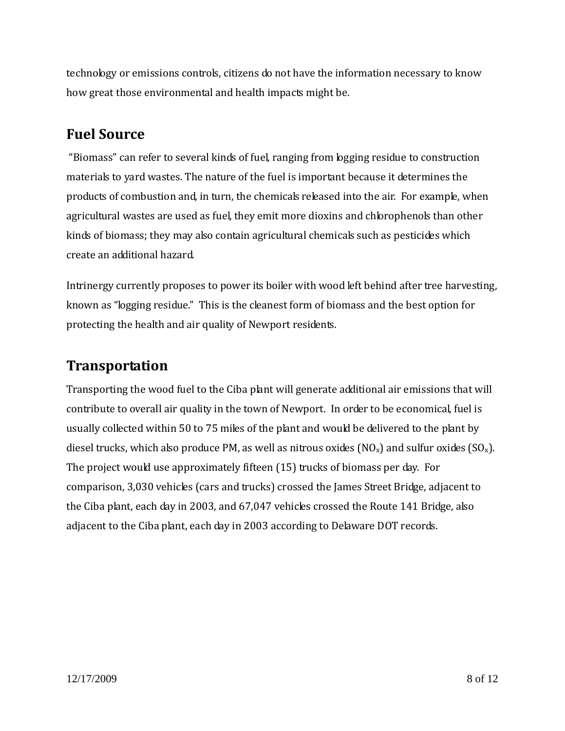technology or emissions controls, citizens do not have the information necessary to know how great those environmental and health impacts might be.

#### **Fuel Source**

"Biomass" can refer to several kinds of fuel, ranging from logging residue to construction materials to yard wastes. The nature of the fuel is important because it determines the products of combustion and, in turn, the chemicals released into the air. For example, when agricultural wastes are used as fuel, they emit more dioxins and chlorophenols than other kinds of biomass; they may also contain agricultural chemicals such as pesticides which create an additional hazard.

Intrinergy currently proposes to power its boiler with wood left behind after tree harvesting, known as "logging residue." This is the cleanest form of biomass and the best option for protecting the health and air quality of Newport residents.

## **Transportation**

Transporting the wood fuel to the Ciba plant will generate additional air emissions that will contribute to overall air quality in the town of Newport. In order to be economical, fuel is usually collected within 50 to 75 miles of the plant and would be delivered to the plant by diesel trucks, which also produce PM, as well as nitrous oxides  $(NO<sub>x</sub>)$  and sulfur oxides  $(SO<sub>x</sub>)$ . The project would use approximately fifteen (15) trucks of biomass per day. For comparison, 3,030 vehicles (cars and trucks) crossed the James Street Bridge, adjacent to the Ciba plant, each day in 2003, and 67,047 vehicles crossed the Route 141 Bridge, also adjacent to the Ciba plant, each day in 2003 according to Delaware DOT records.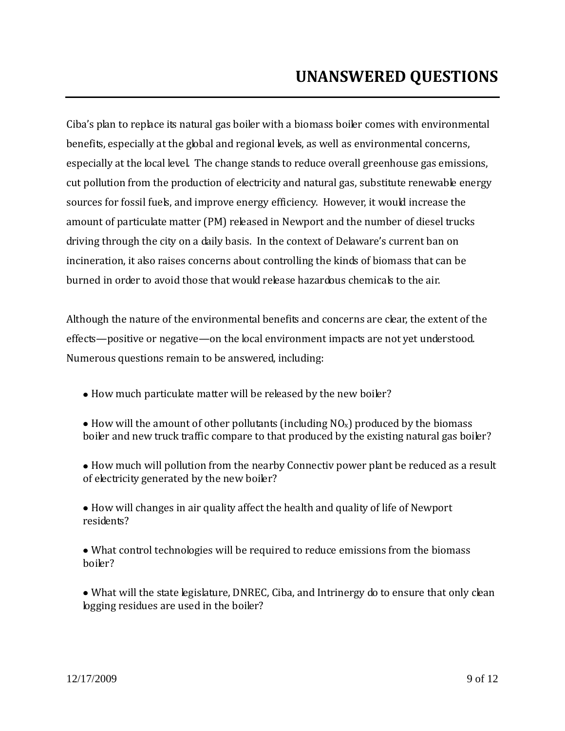Ciba's plan to replace its natural gas boiler with a biomass boiler comes with environmental benefits, especially at the global and regional levels, as well as environmental concerns, especially at the local level. The change stands to reduce overall greenhouse gas emissions, cut pollution from the production of electricity and natural gas, substitute renewable energy sources for fossil fuels, and improve energy efficiency. However, it would increase the amount of particulate matter (PM) released in Newport and the number of diesel trucks driving through the city on a daily basis. In the context of Delaware's current ban on incineration, it also raises concerns about controlling the kinds of biomass that can be burned in order to avoid those that would release hazardous chemicals to the air.

Although the nature of the environmental benefits and concerns are clear, the extent of the effects—positive or negative—on the local environment impacts are not yet understood. Numerous questions remain to be answered, including:

- How much particulate matter will be released by the new boiler?
- $\bullet$  How will the amount of other pollutants (including NO<sub>x</sub>) produced by the biomass boiler and new truck traffic compare to that produced by the existing natural gas boiler?
- How much will pollution from the nearby Connectiv power plant be reduced as a result of electricity generated by the new boiler?
- How will changes in air quality affect the health and quality of life of Newport residents?
- What control technologies will be required to reduce emissions from the biomass boiler?
- What will the state legislature, DNREC, Ciba, and Intrinergy do to ensure that only clean logging residues are used in the boiler?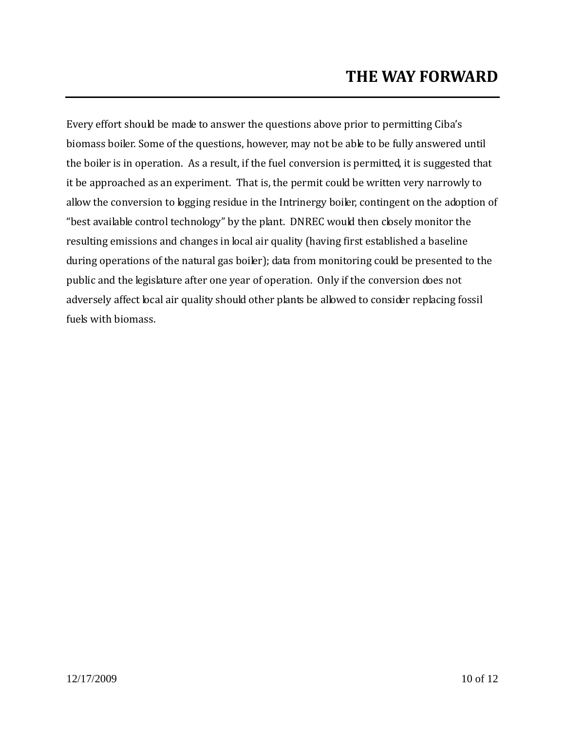Every effort should be made to answer the questions above prior to permitting Ciba's biomass boiler. Some of the questions, however, may not be able to be fully answered until the boiler is in operation. As a result, if the fuel conversion is permitted, it is suggested that it be approached as an experiment. That is, the permit could be written very narrowly to allow the conversion to logging residue in the Intrinergy boiler, contingent on the adoption of "best available control technology" by the plant. DNREC would then closely monitor the resulting emissions and changes in local air quality (having first established a baseline during operations of the natural gas boiler); data from monitoring could be presented to the public and the legislature after one year of operation. Only if the conversion does not adversely affect local air quality should other plants be allowed to consider replacing fossil fuels with biomass.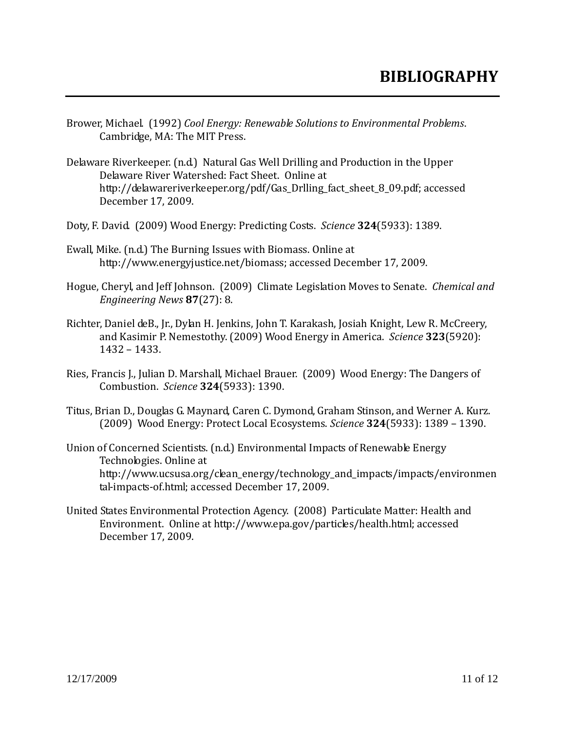- Brower, Michael. (1992) *Cool Energy: Renewable Solutions to Environmental Problems*. Cambridge, MA: The MIT Press.
- Delaware Riverkeeper. (n.d.) Natural Gas Well Drilling and Production in the Upper Delaware River Watershed: Fact Sheet. Online at http://delawareriverkeeper.org/pdf/Gas\_Drlling\_fact\_sheet\_8\_09.pdf; accessed December 17, 2009.
- Doty, F. David. (2009) Wood Energy: Predicting Costs. *Science* **324**(5933): 1389.
- Ewall, Mike. (n.d.) The Burning Issues with Biomass. Online at http://www.energyjustice.net/biomass; accessed December 17, 2009.
- Hogue, Cheryl, and Jeff Johnson. (2009) Climate Legislation Moves to Senate. *Chemical and Engineering News* **87**(27): 8.
- Richter, Daniel deB., Jr., Dylan H. Jenkins, John T. Karakash, Josiah Knight, Lew R. McCreery, and Kasimir P. Nemestothy. (2009) Wood Energy in America. *Science* **323**(5920): 1432 – 1433.
- Ries, Francis J., Julian D. Marshall, Michael Brauer. (2009) Wood Energy: The Dangers of Combustion. *Science* **324**(5933): 1390.
- Titus, Brian D., Douglas G. Maynard, Caren C. Dymond, Graham Stinson, and Werner A. Kurz. (2009) Wood Energy: Protect Local Ecosystems. *Science* **324**(5933): 1389 – 1390.
- Union of Concerned Scientists. (n.d.) Environmental Impacts of Renewable Energy Technologies. Online at http://www.ucsusa.org/clean\_energy/technology\_and\_impacts/impacts/environmen tal-impacts-of.html; accessed December 17, 2009.
- United States Environmental Protection Agency. (2008) Particulate Matter: Health and Environment. Online at http://www.epa.gov/particles/health.html; accessed December 17, 2009.